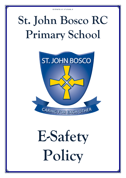# **St. John Bosco RC Primary School**



# **E-Safety Policy**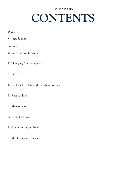# **CONTENTS**

# Policy

• Introduction

# **Sections**

- 1. Teaching and Learning
- 2. Managing Internet Access
- 3. E-Mail
- 4. Published content and the school web site
- 5. Safeguarding
- 6. Management
- 7. Policy Decisions
- 8. Communications Policy
- 9. Monitoring and review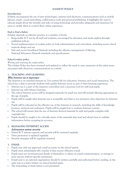## **Introduction**

E-Safety encompasses the use of new technologies, internet and electronic communications such as mobile phones, email , social networking, collaboration tools and personal publishing. It highlights the need to educate pupils about the benefits and risks of using technology and provides safeguards and awareness for users to enable them to control their online experience.

# **End to End e-Safety**

E-Safety depends on effective practice at a number of levels:

- Responsible ICT use by all staff and students; encouraged by education and made explicit through published policies
- Sound implementation of e-safety policy in both administration and curriculum, including secure school network design and use
- Safe and secure broadband Network including the effective management of filtering. National Education Network standards and specifications.

## **School e-safety policy**

#### *Writing and reviewing the e-safety policy*

The e-Safety Policy has been reviewed and updated to reflect the need to raise awareness of the safety issues associated with electronic communications as a whole.

# **1. TEACHING AND LEARNING**

## Why Internet use is important

The Internet is an essential element in 21st century life for education, business and social interaction. The school has a duty to provide students with quality Internet access as part of their learning experience.

- Internet use is a part of the statutory curriculum and a necessary tool for staff and pupils.
- Internet use will enhance learning
- The school Internet access will be designed expressly for pupil use and will include filtering appropriate to the age of pupils.
- Pupils will be taught what Internet use is acceptable and what is not and given clear objectives for Internet use.
- Pupils will be educated in the effective use of the Internet in research, including the skills of knowledge location, retrieval and evaluation. Pupils will be taught how to evaluate Internet content.
- The school will ensure that the use of Internet derived materials by staff and pupils complies with copyright law.
- Pupils should be taught to be critically aware of the materials they read and shown how to validate information before accepting its accuracy.

# **2. MANAGING INTERNET ACCESS**

## Information system security

- School ICT systems capacity and security will be reviewed regularly.
- Virus protection is updated regularly.
- Security strategies will be regularly reviewed

# **3. E-MAIL**

- Pupils may only use approved e-mail accounts on the school system.
- Pupils must immediately tell a teacher if they receive offensive e-mail.
- Pupils must not reveal personal details of themselves or others in e-mail communication, or arrange to meet anyone without specific permission.
- E-mail sent to an external organisation should be written carefully and authorised before sending, in the same way as a letter written on school headed paper.
- The forwarding of chain letters is not permitted.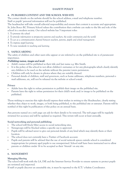# **4. PUBLISHED CONTENT AND THE SCHOOL WEB SITE**

The contact details on the website should be the school address, e-mail and telephone number. Staff or pupils' personal information will not be published.

The headteacher will take overall editorial responsibility and ensure that content is accurate and appropriate. St. John Bosco RC Primary School values the contribution that a website can make to the life and role of the school in a modern society. Our school website has 5 important roles:

- 1. *To promote the school*
- *2. To provide information to prospective parents and teachers, the wider community and the world*
- *3. To act as a communication channel between teachers, parents, pupils and school management*
- *4. To improve pupil learning*
- *5. To raise standards in teaching and learning.*

# **5. SAFEGUARDING**

The safety of children and other users who appear or are referred to on the published site is of paramount importance.

# Publishing names, images and work

- Adult's names will be published as their title and last name e.g. Mrs Smith.
- It is the policy of the school to not allow children's surnames or for any photographs which clearly identify any children to be used on the website without the parents/carers permission.
- Children will only be shown in photos where they are suitably dressed.
- Personal details of children, staff and governors, such as home addresses, telephone numbers, personal email addresses, etc, will not be released via the website or school e-mail.

## **Privacy**

- Adults have the right to refuse permission to publish their image on the published site.
- Parents have the right to refuse permission for their child's work and/or image to be published on the published.

Those wishing to exercise this right should express their wishes in writing to the Headteacher, clearly stating whether they object to work, images, or both being published, to the published site or extranet. Parents will be notified of this right by publication of this policy on an annual basis.

Any persons named on a web page can ask for their details to be removed. The web pages will be regularly reviewed for accuracy and will be updated as required. This review will occur at least annually.

# **Social networking and personal publishing**

- The school will block/filter access to social networking sites.
- Newsgroups will be blocked unless a specific use is approved.
- Pupils will be advised never to give out personal details of any kind which may identify them or their location.
- The school does not currently have a Twitter of Facebook account.
- Pupils and parents will be advised that the use of social network spaces outside school is considered inappropriate for primary aged pupils to use unsupervised. School staff have been instructed not to allow parents or children under 16 to be accepted as their 'friends' on any site.

#### .

# **6. MANGEMENT**

# **Managing filtering**

The school will work with the LA, DfE and the Internet Service Provider to ensure systems to protect pupils are reviewed and improved.

If staff or pupils discover an unsuitable site, it must be reported to the ICT/ e-Safety Coordinator.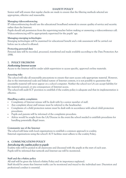Senior staff will ensure that regular checks are made to ensure that the filtering methods selected are appropriate, effective and reasonable.

#### **Managing videoconferencing**

IP videoconferencing should use the educational broadband network to ensure quality of service and security rather than the Internet.

Pupils should ask permission from the supervising teacher before making or answering a videoconference call. Videoconferencing will be appropriately supervised for the pupils' age.

#### **Managing emerging technologies**

Emerging technologies will be examined for educational benefit and a risk assessment will be carried out before use in school is allowed.

#### **Protecting personal data**

Personal data will be recorded, processed, transferred and made available according to the Data Protection Act 1998.

# **7. POLICY DECISIONS**

#### Authorising Internet access

Access to the Internet will be under adult supervision to access specific, approved on-line materials.

#### **Assessing risks**

The school will take all reasonable precautions to ensure that users access only appropriate material. However, due to the international scale and linked nature of Internet content, it is not possible to guarantee that unsuitable material will never appear on a school computer. Neither the school nor LA can accept liability for the material accessed, or any consequences of Internet access.

The school will audit ICT provision to establish if the e-safety policy is adequate and that its implementation is effective.

#### **Handling e-safety complaints**

- Complaints of Internet misuse will be dealt with by a senior member of staff.
- Any complaint about staff misuse must be referred to the headteacher.
- Complaints of a child protection nature must be dealt with in accordance with school child protection procedures.
- Pupils and parents will be informed of the complaints procedure.
- Advice would be sought from the LA/Diocese in the event the school needed to establish procedures for handling potentially illegal issues.

#### **Community use of the Internet**

The school will liaise with local organisations to establish a common approach to e-safety. External organisations using the school's ICT facilities must adhere to the e-safety Policy.

## **8. COMMUNICATIONS POLICY**

#### Introducing the e-safety policy to pupils

E-safety rules will be posted in all classrooms and discussed with the pupils at the start of each year. Pupils will be informed that network and Internet use will be monitored.

#### **Staff and the e-Safety policy**

All staff will be given the School e-Safety Policy and its importance explained.

Staff should be aware that Internet traffic can be monitored and traced to the individual user. Discretion and professional conduct is essential.